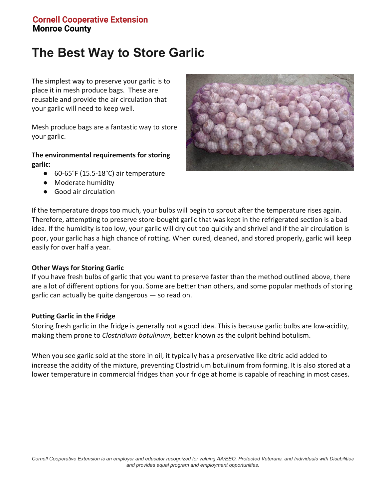## **Cornell Cooperative Extension Monroe County**

# **The Best Way to Store Garlic**

The simplest way to preserve your garlic is to place it in mesh produce bags. These are reusable and provide the air circulation that your garlic will need to keep well.

Mesh produce bags are a fantastic way to store your garlic.

#### **The environmental requirements for storing garlic:**

- 60-65°F (15.5-18°C) air temperature
- Moderate humidity
- Good air circulation



If the temperature drops too much, your bulbs will begin to sprout after the temperature rises again. Therefore, attempting to preserve store-bought garlic that was kept in the refrigerated section is a bad idea. If the humidity is too low, your garlic will dry out too quickly and shrivel and if the air circulation is poor, your garlic has a high chance of rotting. When cured, cleaned, and stored properly, garlic will keep easily for over half a year.

#### **Other Ways for Storing Garlic**

If you have fresh bulbs of garlic that you want to preserve faster than the method outlined above, there are a lot of different options for you. Some are better than others, and some popular methods of storing garlic can actually be quite dangerous — so read on.

#### **Putting Garlic in the Fridge**

Storing fresh garlic in the fridge is generally not a good idea. This is because garlic bulbs are low-acidity, making them prone to *Clostridium botulinum*, better known as the culprit behind botulism.

When you see garlic sold at the store in oil, it typically has a preservative like citric acid added to increase the acidity of the mixture, preventing Clostridium botulinum from forming. It is also stored at a lower temperature in commercial fridges than your fridge at home is capable of reaching in most cases.